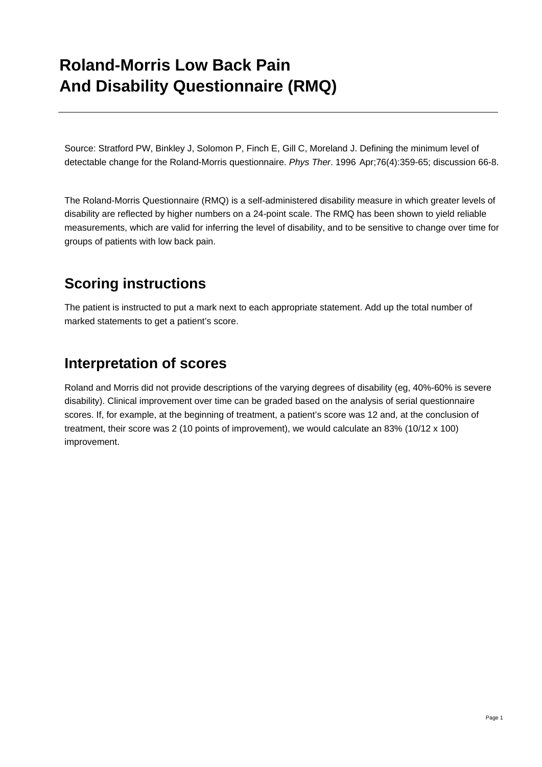## **Roland-Morris Low Back Pain And Disability Questionnaire (RMQ)**

Source: Stratford PW, Binkley J, Solomon P, Finch E, Gill C, Moreland J. Defining the minimum level of detectable change for the Roland-Morris questionnaire. *Phys Ther*. 1996 Apr;76(4):359-65; discussion 66-8.

The Roland-Morris Questionnaire (RMQ) is a self-administered disability measure in which greater levels of disability are reflected by higher numbers on a 24-point scale. The RMQ has been shown to yield reliable measurements, which are valid for inferring the level of disability, and to be sensitive to change over time for groups of patients with low back pain.

## **Scoring instructions**

The patient is instructed to put a mark next to each appropriate statement. Add up the total number of marked statements to get a patient's score.

### **Interpretation of scores**

Roland and Morris did not provide descriptions of the varying degrees of disability (eg, 40%-60% is severe disability). Clinical improvement over time can be graded based on the analysis of serial questionnaire scores. If, for example, at the beginning of treatment, a patient's score was 12 and, at the conclusion of treatment, their score was 2 (10 points of improvement), we would calculate an 83% (10/12 x 100) improvement.